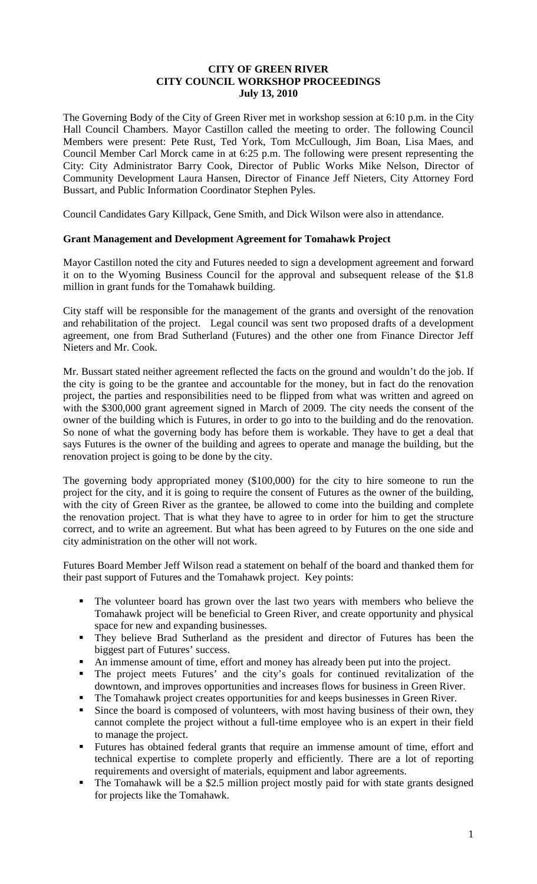## **CITY OF GREEN RIVER CITY COUNCIL WORKSHOP PROCEEDINGS July 13, 2010**

The Governing Body of the City of Green River met in workshop session at 6:10 p.m. in the City Hall Council Chambers. Mayor Castillon called the meeting to order. The following Council Members were present: Pete Rust, Ted York, Tom McCullough, Jim Boan, Lisa Maes, and Council Member Carl Morck came in at 6:25 p.m. The following were present representing the City: City Administrator Barry Cook, Director of Public Works Mike Nelson, Director of Community Development Laura Hansen, Director of Finance Jeff Nieters, City Attorney Ford Bussart, and Public Information Coordinator Stephen Pyles.

Council Candidates Gary Killpack, Gene Smith, and Dick Wilson were also in attendance.

## **Grant Management and Development Agreement for Tomahawk Project**

Mayor Castillon noted the city and Futures needed to sign a development agreement and forward it on to the Wyoming Business Council for the approval and subsequent release of the \$1.8 million in grant funds for the Tomahawk building.

City staff will be responsible for the management of the grants and oversight of the renovation and rehabilitation of the project. Legal council was sent two proposed drafts of a development agreement, one from Brad Sutherland (Futures) and the other one from Finance Director Jeff Nieters and Mr. Cook.

Mr. Bussart stated neither agreement reflected the facts on the ground and wouldn't do the job. If the city is going to be the grantee and accountable for the money, but in fact do the renovation project, the parties and responsibilities need to be flipped from what was written and agreed on with the \$300,000 grant agreement signed in March of 2009. The city needs the consent of the owner of the building which is Futures, in order to go into to the building and do the renovation. So none of what the governing body has before them is workable. They have to get a deal that says Futures is the owner of the building and agrees to operate and manage the building, but the renovation project is going to be done by the city.

The governing body appropriated money (\$100,000) for the city to hire someone to run the project for the city, and it is going to require the consent of Futures as the owner of the building, with the city of Green River as the grantee, be allowed to come into the building and complete the renovation project. That is what they have to agree to in order for him to get the structure correct, and to write an agreement. But what has been agreed to by Futures on the one side and city administration on the other will not work.

Futures Board Member Jeff Wilson read a statement on behalf of the board and thanked them for their past support of Futures and the Tomahawk project. Key points:

- The volunteer board has grown over the last two years with members who believe the Tomahawk project will be beneficial to Green River, and create opportunity and physical space for new and expanding businesses.
- They believe Brad Sutherland as the president and director of Futures has been the biggest part of Futures' success.
- An immense amount of time, effort and money has already been put into the project.
- The project meets Futures' and the city's goals for continued revitalization of the downtown, and improves opportunities and increases flows for business in Green River.
- The Tomahawk project creates opportunities for and keeps businesses in Green River.
- Since the board is composed of volunteers, with most having business of their own, they cannot complete the project without a full-time employee who is an expert in their field to manage the project.
- Futures has obtained federal grants that require an immense amount of time, effort and technical expertise to complete properly and efficiently. There are a lot of reporting requirements and oversight of materials, equipment and labor agreements.
- The Tomahawk will be a \$2.5 million project mostly paid for with state grants designed for projects like the Tomahawk.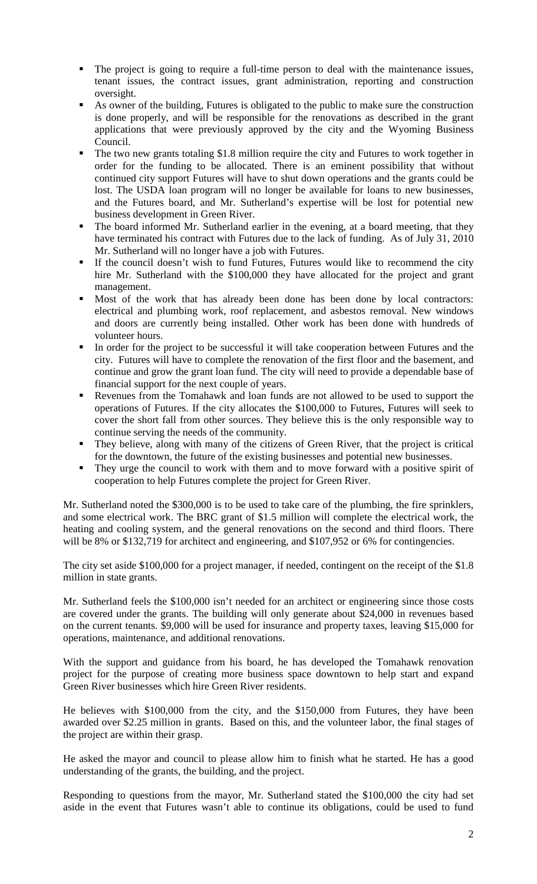- The project is going to require a full-time person to deal with the maintenance issues, tenant issues, the contract issues, grant administration, reporting and construction oversight.
- As owner of the building, Futures is obligated to the public to make sure the construction is done properly, and will be responsible for the renovations as described in the grant applications that were previously approved by the city and the Wyoming Business Council.
- The two new grants totaling \$1.8 million require the city and Futures to work together in order for the funding to be allocated. There is an eminent possibility that without continued city support Futures will have to shut down operations and the grants could be lost. The USDA loan program will no longer be available for loans to new businesses, and the Futures board, and Mr. Sutherland's expertise will be lost for potential new business development in Green River.
- The board informed Mr. Sutherland earlier in the evening, at a board meeting, that they have terminated his contract with Futures due to the lack of funding. As of July 31, 2010 Mr. Sutherland will no longer have a job with Futures.
- If the council doesn't wish to fund Futures, Futures would like to recommend the city hire Mr. Sutherland with the \$100,000 they have allocated for the project and grant management.
- Most of the work that has already been done has been done by local contractors: electrical and plumbing work, roof replacement, and asbestos removal. New windows and doors are currently being installed. Other work has been done with hundreds of volunteer hours.
- In order for the project to be successful it will take cooperation between Futures and the city. Futures will have to complete the renovation of the first floor and the basement, and continue and grow the grant loan fund. The city will need to provide a dependable base of financial support for the next couple of years.
- Revenues from the Tomahawk and loan funds are not allowed to be used to support the operations of Futures. If the city allocates the \$100,000 to Futures, Futures will seek to cover the short fall from other sources. They believe this is the only responsible way to continue serving the needs of the community.
- They believe, along with many of the citizens of Green River, that the project is critical for the downtown, the future of the existing businesses and potential new businesses.
- They urge the council to work with them and to move forward with a positive spirit of cooperation to help Futures complete the project for Green River.

Mr. Sutherland noted the \$300,000 is to be used to take care of the plumbing, the fire sprinklers, and some electrical work. The BRC grant of \$1.5 million will complete the electrical work, the heating and cooling system, and the general renovations on the second and third floors. There will be 8% or \$132,719 for architect and engineering, and \$107,952 or 6% for contingencies.

The city set aside \$100,000 for a project manager, if needed, contingent on the receipt of the \$1.8 million in state grants.

Mr. Sutherland feels the \$100,000 isn't needed for an architect or engineering since those costs are covered under the grants. The building will only generate about \$24,000 in revenues based on the current tenants. \$9,000 will be used for insurance and property taxes, leaving \$15,000 for operations, maintenance, and additional renovations.

With the support and guidance from his board, he has developed the Tomahawk renovation project for the purpose of creating more business space downtown to help start and expand Green River businesses which hire Green River residents.

He believes with \$100,000 from the city, and the \$150,000 from Futures, they have been awarded over \$2.25 million in grants. Based on this, and the volunteer labor, the final stages of the project are within their grasp.

He asked the mayor and council to please allow him to finish what he started. He has a good understanding of the grants, the building, and the project.

Responding to questions from the mayor, Mr. Sutherland stated the \$100,000 the city had set aside in the event that Futures wasn't able to continue its obligations, could be used to fund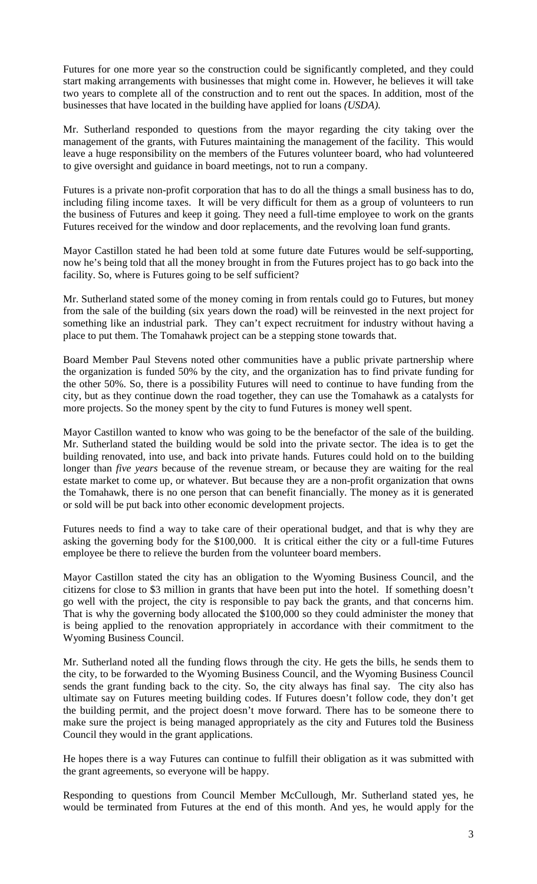Futures for one more year so the construction could be significantly completed, and they could start making arrangements with businesses that might come in. However, he believes it will take two years to complete all of the construction and to rent out the spaces. In addition, most of the businesses that have located in the building have applied for loans *(USDA)*.

Mr. Sutherland responded to questions from the mayor regarding the city taking over the management of the grants, with Futures maintaining the management of the facility. This would leave a huge responsibility on the members of the Futures volunteer board, who had volunteered to give oversight and guidance in board meetings, not to run a company.

Futures is a private non-profit corporation that has to do all the things a small business has to do, including filing income taxes. It will be very difficult for them as a group of volunteers to run the business of Futures and keep it going. They need a full-time employee to work on the grants Futures received for the window and door replacements, and the revolving loan fund grants.

Mayor Castillon stated he had been told at some future date Futures would be self-supporting, now he's being told that all the money brought in from the Futures project has to go back into the facility. So, where is Futures going to be self sufficient?

Mr. Sutherland stated some of the money coming in from rentals could go to Futures, but money from the sale of the building (six years down the road) will be reinvested in the next project for something like an industrial park. They can't expect recruitment for industry without having a place to put them. The Tomahawk project can be a stepping stone towards that.

Board Member Paul Stevens noted other communities have a public private partnership where the organization is funded 50% by the city, and the organization has to find private funding for the other 50%. So, there is a possibility Futures will need to continue to have funding from the city, but as they continue down the road together, they can use the Tomahawk as a catalysts for more projects. So the money spent by the city to fund Futures is money well spent.

Mayor Castillon wanted to know who was going to be the benefactor of the sale of the building. Mr. Sutherland stated the building would be sold into the private sector. The idea is to get the building renovated, into use, and back into private hands. Futures could hold on to the building longer than *five years* because of the revenue stream, or because they are waiting for the real estate market to come up, or whatever. But because they are a non-profit organization that owns the Tomahawk, there is no one person that can benefit financially. The money as it is generated or sold will be put back into other economic development projects.

Futures needs to find a way to take care of their operational budget, and that is why they are asking the governing body for the \$100,000. It is critical either the city or a full-time Futures employee be there to relieve the burden from the volunteer board members.

Mayor Castillon stated the city has an obligation to the Wyoming Business Council, and the citizens for close to \$3 million in grants that have been put into the hotel. If something doesn't go well with the project, the city is responsible to pay back the grants, and that concerns him. That is why the governing body allocated the \$100,000 so they could administer the money that is being applied to the renovation appropriately in accordance with their commitment to the Wyoming Business Council.

Mr. Sutherland noted all the funding flows through the city. He gets the bills, he sends them to the city, to be forwarded to the Wyoming Business Council, and the Wyoming Business Council sends the grant funding back to the city. So, the city always has final say. The city also has ultimate say on Futures meeting building codes. If Futures doesn't follow code, they don't get the building permit, and the project doesn't move forward. There has to be someone there to make sure the project is being managed appropriately as the city and Futures told the Business Council they would in the grant applications.

He hopes there is a way Futures can continue to fulfill their obligation as it was submitted with the grant agreements, so everyone will be happy.

Responding to questions from Council Member McCullough, Mr. Sutherland stated yes, he would be terminated from Futures at the end of this month. And yes, he would apply for the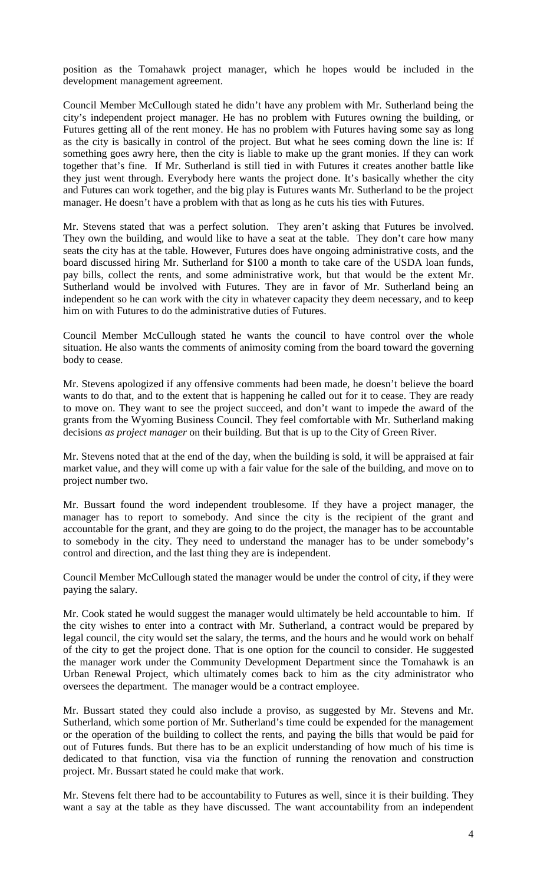position as the Tomahawk project manager, which he hopes would be included in the development management agreement.

Council Member McCullough stated he didn't have any problem with Mr. Sutherland being the city's independent project manager. He has no problem with Futures owning the building, or Futures getting all of the rent money. He has no problem with Futures having some say as long as the city is basically in control of the project. But what he sees coming down the line is: If something goes awry here, then the city is liable to make up the grant monies. If they can work together that's fine. If Mr. Sutherland is still tied in with Futures it creates another battle like they just went through. Everybody here wants the project done. It's basically whether the city and Futures can work together, and the big play is Futures wants Mr. Sutherland to be the project manager. He doesn't have a problem with that as long as he cuts his ties with Futures.

Mr. Stevens stated that was a perfect solution. They aren't asking that Futures be involved. They own the building, and would like to have a seat at the table. They don't care how many seats the city has at the table. However, Futures does have ongoing administrative costs, and the board discussed hiring Mr. Sutherland for \$100 a month to take care of the USDA loan funds, pay bills, collect the rents, and some administrative work, but that would be the extent Mr. Sutherland would be involved with Futures. They are in favor of Mr. Sutherland being an independent so he can work with the city in whatever capacity they deem necessary, and to keep him on with Futures to do the administrative duties of Futures.

Council Member McCullough stated he wants the council to have control over the whole situation. He also wants the comments of animosity coming from the board toward the governing body to cease.

Mr. Stevens apologized if any offensive comments had been made, he doesn't believe the board wants to do that, and to the extent that is happening he called out for it to cease. They are ready to move on. They want to see the project succeed, and don't want to impede the award of the grants from the Wyoming Business Council. They feel comfortable with Mr. Sutherland making decisions *as project manager* on their building. But that is up to the City of Green River.

Mr. Stevens noted that at the end of the day, when the building is sold, it will be appraised at fair market value, and they will come up with a fair value for the sale of the building, and move on to project number two.

Mr. Bussart found the word independent troublesome. If they have a project manager, the manager has to report to somebody. And since the city is the recipient of the grant and accountable for the grant, and they are going to do the project, the manager has to be accountable to somebody in the city. They need to understand the manager has to be under somebody's control and direction, and the last thing they are is independent.

Council Member McCullough stated the manager would be under the control of city, if they were paying the salary.

Mr. Cook stated he would suggest the manager would ultimately be held accountable to him. If the city wishes to enter into a contract with Mr. Sutherland, a contract would be prepared by legal council, the city would set the salary, the terms, and the hours and he would work on behalf of the city to get the project done. That is one option for the council to consider. He suggested the manager work under the Community Development Department since the Tomahawk is an Urban Renewal Project, which ultimately comes back to him as the city administrator who oversees the department. The manager would be a contract employee.

Mr. Bussart stated they could also include a proviso, as suggested by Mr. Stevens and Mr. Sutherland, which some portion of Mr. Sutherland's time could be expended for the management or the operation of the building to collect the rents, and paying the bills that would be paid for out of Futures funds. But there has to be an explicit understanding of how much of his time is dedicated to that function, visa via the function of running the renovation and construction project. Mr. Bussart stated he could make that work.

Mr. Stevens felt there had to be accountability to Futures as well, since it is their building. They want a say at the table as they have discussed. The want accountability from an independent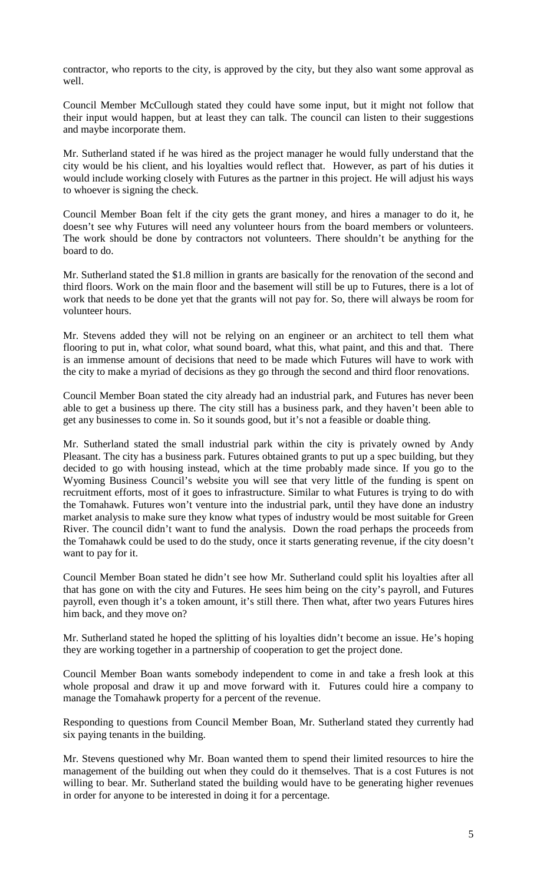contractor, who reports to the city, is approved by the city, but they also want some approval as well.

Council Member McCullough stated they could have some input, but it might not follow that their input would happen, but at least they can talk. The council can listen to their suggestions and maybe incorporate them.

Mr. Sutherland stated if he was hired as the project manager he would fully understand that the city would be his client, and his loyalties would reflect that. However, as part of his duties it would include working closely with Futures as the partner in this project. He will adjust his ways to whoever is signing the check.

Council Member Boan felt if the city gets the grant money, and hires a manager to do it, he doesn't see why Futures will need any volunteer hours from the board members or volunteers. The work should be done by contractors not volunteers. There shouldn't be anything for the board to do.

Mr. Sutherland stated the \$1.8 million in grants are basically for the renovation of the second and third floors. Work on the main floor and the basement will still be up to Futures, there is a lot of work that needs to be done yet that the grants will not pay for. So, there will always be room for volunteer hours.

Mr. Stevens added they will not be relying on an engineer or an architect to tell them what flooring to put in, what color, what sound board, what this, what paint, and this and that. There is an immense amount of decisions that need to be made which Futures will have to work with the city to make a myriad of decisions as they go through the second and third floor renovations.

Council Member Boan stated the city already had an industrial park, and Futures has never been able to get a business up there. The city still has a business park, and they haven't been able to get any businesses to come in. So it sounds good, but it's not a feasible or doable thing.

Mr. Sutherland stated the small industrial park within the city is privately owned by Andy Pleasant. The city has a business park. Futures obtained grants to put up a spec building, but they decided to go with housing instead, which at the time probably made since. If you go to the Wyoming Business Council's website you will see that very little of the funding is spent on recruitment efforts, most of it goes to infrastructure. Similar to what Futures is trying to do with the Tomahawk. Futures won't venture into the industrial park, until they have done an industry market analysis to make sure they know what types of industry would be most suitable for Green River. The council didn't want to fund the analysis. Down the road perhaps the proceeds from the Tomahawk could be used to do the study, once it starts generating revenue, if the city doesn't want to pay for it.

Council Member Boan stated he didn't see how Mr. Sutherland could split his loyalties after all that has gone on with the city and Futures. He sees him being on the city's payroll, and Futures payroll, even though it's a token amount, it's still there. Then what, after two years Futures hires him back, and they move on?

Mr. Sutherland stated he hoped the splitting of his loyalties didn't become an issue. He's hoping they are working together in a partnership of cooperation to get the project done.

Council Member Boan wants somebody independent to come in and take a fresh look at this whole proposal and draw it up and move forward with it. Futures could hire a company to manage the Tomahawk property for a percent of the revenue.

Responding to questions from Council Member Boan, Mr. Sutherland stated they currently had six paying tenants in the building.

Mr. Stevens questioned why Mr. Boan wanted them to spend their limited resources to hire the management of the building out when they could do it themselves. That is a cost Futures is not willing to bear. Mr. Sutherland stated the building would have to be generating higher revenues in order for anyone to be interested in doing it for a percentage.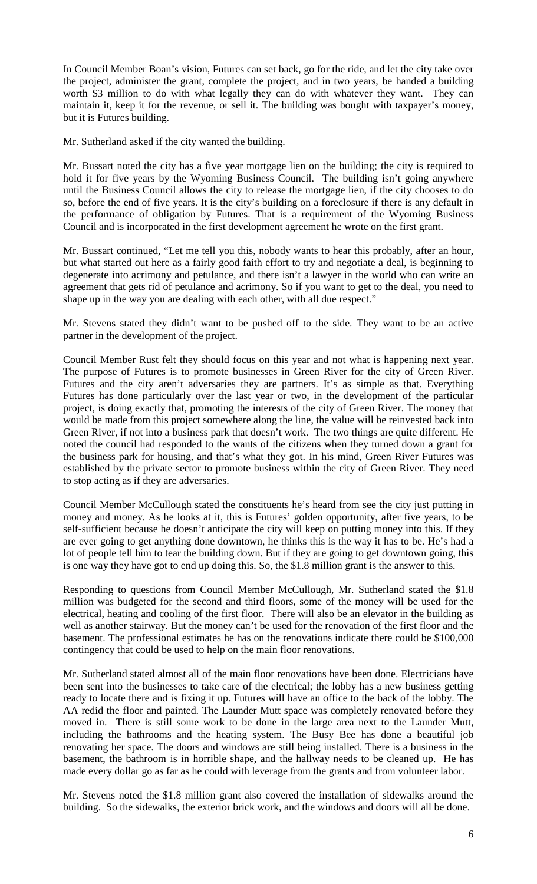In Council Member Boan's vision, Futures can set back, go for the ride, and let the city take over the project, administer the grant, complete the project, and in two years, be handed a building worth \$3 million to do with what legally they can do with whatever they want. They can maintain it, keep it for the revenue, or sell it. The building was bought with taxpayer's money, but it is Futures building.

Mr. Sutherland asked if the city wanted the building.

Mr. Bussart noted the city has a five year mortgage lien on the building; the city is required to hold it for five years by the Wyoming Business Council. The building isn't going anywhere until the Business Council allows the city to release the mortgage lien, if the city chooses to do so, before the end of five years. It is the city's building on a foreclosure if there is any default in the performance of obligation by Futures. That is a requirement of the Wyoming Business Council and is incorporated in the first development agreement he wrote on the first grant.

Mr. Bussart continued, "Let me tell you this, nobody wants to hear this probably, after an hour, but what started out here as a fairly good faith effort to try and negotiate a deal, is beginning to degenerate into acrimony and petulance, and there isn't a lawyer in the world who can write an agreement that gets rid of petulance and acrimony. So if you want to get to the deal, you need to shape up in the way you are dealing with each other, with all due respect."

Mr. Stevens stated they didn't want to be pushed off to the side. They want to be an active partner in the development of the project.

Council Member Rust felt they should focus on this year and not what is happening next year. The purpose of Futures is to promote businesses in Green River for the city of Green River. Futures and the city aren't adversaries they are partners. It's as simple as that. Everything Futures has done particularly over the last year or two, in the development of the particular project, is doing exactly that, promoting the interests of the city of Green River. The money that would be made from this project somewhere along the line, the value will be reinvested back into Green River, if not into a business park that doesn't work. The two things are quite different. He noted the council had responded to the wants of the citizens when they turned down a grant for the business park for housing, and that's what they got. In his mind, Green River Futures was established by the private sector to promote business within the city of Green River. They need to stop acting as if they are adversaries.

Council Member McCullough stated the constituents he's heard from see the city just putting in money and money. As he looks at it, this is Futures' golden opportunity, after five years, to be self-sufficient because he doesn't anticipate the city will keep on putting money into this. If they are ever going to get anything done downtown, he thinks this is the way it has to be. He's had a lot of people tell him to tear the building down. But if they are going to get downtown going, this is one way they have got to end up doing this. So, the \$1.8 million grant is the answer to this.

Responding to questions from Council Member McCullough, Mr. Sutherland stated the \$1.8 million was budgeted for the second and third floors, some of the money will be used for the electrical, heating and cooling of the first floor. There will also be an elevator in the building as well as another stairway. But the money can't be used for the renovation of the first floor and the basement. The professional estimates he has on the renovations indicate there could be \$100,000 contingency that could be used to help on the main floor renovations.

Mr. Sutherland stated almost all of the main floor renovations have been done. Electricians have been sent into the businesses to take care of the electrical; the lobby has a new business getting ready to locate there and is fixing it up. Futures will have an office to the back of the lobby. The AA redid the floor and painted. The Launder Mutt space was completely renovated before they moved in. There is still some work to be done in the large area next to the Launder Mutt, including the bathrooms and the heating system. The Busy Bee has done a beautiful job renovating her space. The doors and windows are still being installed. There is a business in the basement, the bathroom is in horrible shape, and the hallway needs to be cleaned up. He has made every dollar go as far as he could with leverage from the grants and from volunteer labor.

Mr. Stevens noted the \$1.8 million grant also covered the installation of sidewalks around the building. So the sidewalks, the exterior brick work, and the windows and doors will all be done.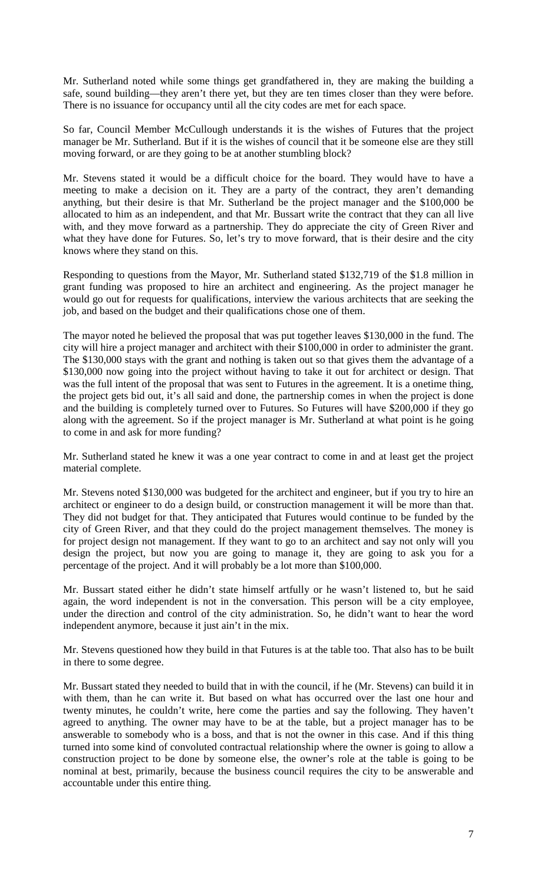Mr. Sutherland noted while some things get grandfathered in, they are making the building a safe, sound building—they aren't there yet, but they are ten times closer than they were before. There is no issuance for occupancy until all the city codes are met for each space.

So far, Council Member McCullough understands it is the wishes of Futures that the project manager be Mr. Sutherland. But if it is the wishes of council that it be someone else are they still moving forward, or are they going to be at another stumbling block?

Mr. Stevens stated it would be a difficult choice for the board. They would have to have a meeting to make a decision on it. They are a party of the contract, they aren't demanding anything, but their desire is that Mr. Sutherland be the project manager and the \$100,000 be allocated to him as an independent, and that Mr. Bussart write the contract that they can all live with, and they move forward as a partnership. They do appreciate the city of Green River and what they have done for Futures. So, let's try to move forward, that is their desire and the city knows where they stand on this.

Responding to questions from the Mayor, Mr. Sutherland stated \$132,719 of the \$1.8 million in grant funding was proposed to hire an architect and engineering. As the project manager he would go out for requests for qualifications, interview the various architects that are seeking the job, and based on the budget and their qualifications chose one of them.

The mayor noted he believed the proposal that was put together leaves \$130,000 in the fund. The city will hire a project manager and architect with their \$100,000 in order to administer the grant. The \$130,000 stays with the grant and nothing is taken out so that gives them the advantage of a \$130,000 now going into the project without having to take it out for architect or design. That was the full intent of the proposal that was sent to Futures in the agreement. It is a onetime thing, the project gets bid out, it's all said and done, the partnership comes in when the project is done and the building is completely turned over to Futures. So Futures will have \$200,000 if they go along with the agreement. So if the project manager is Mr. Sutherland at what point is he going to come in and ask for more funding?

Mr. Sutherland stated he knew it was a one year contract to come in and at least get the project material complete.

Mr. Stevens noted \$130,000 was budgeted for the architect and engineer, but if you try to hire an architect or engineer to do a design build, or construction management it will be more than that. They did not budget for that. They anticipated that Futures would continue to be funded by the city of Green River, and that they could do the project management themselves. The money is for project design not management. If they want to go to an architect and say not only will you design the project, but now you are going to manage it, they are going to ask you for a percentage of the project. And it will probably be a lot more than \$100,000.

Mr. Bussart stated either he didn't state himself artfully or he wasn't listened to, but he said again, the word independent is not in the conversation. This person will be a city employee, under the direction and control of the city administration. So, he didn't want to hear the word independent anymore, because it just ain't in the mix.

Mr. Stevens questioned how they build in that Futures is at the table too. That also has to be built in there to some degree.

Mr. Bussart stated they needed to build that in with the council, if he (Mr. Stevens) can build it in with them, than he can write it. But based on what has occurred over the last one hour and twenty minutes, he couldn't write, here come the parties and say the following. They haven't agreed to anything. The owner may have to be at the table, but a project manager has to be answerable to somebody who is a boss, and that is not the owner in this case. And if this thing turned into some kind of convoluted contractual relationship where the owner is going to allow a construction project to be done by someone else, the owner's role at the table is going to be nominal at best, primarily, because the business council requires the city to be answerable and accountable under this entire thing.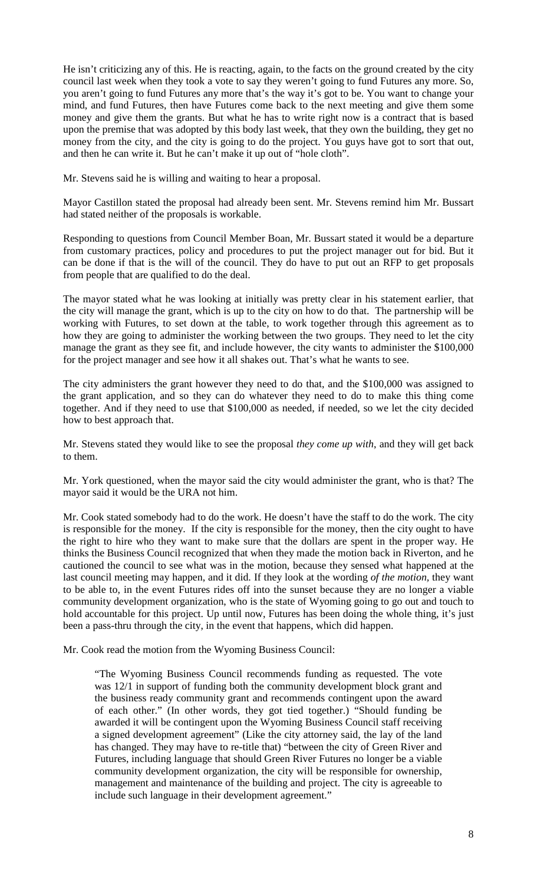He isn't criticizing any of this. He is reacting, again, to the facts on the ground created by the city council last week when they took a vote to say they weren't going to fund Futures any more. So, you aren't going to fund Futures any more that's the way it's got to be. You want to change your mind, and fund Futures, then have Futures come back to the next meeting and give them some money and give them the grants. But what he has to write right now is a contract that is based upon the premise that was adopted by this body last week, that they own the building, they get no money from the city, and the city is going to do the project. You guys have got to sort that out, and then he can write it. But he can't make it up out of "hole cloth".

Mr. Stevens said he is willing and waiting to hear a proposal.

Mayor Castillon stated the proposal had already been sent. Mr. Stevens remind him Mr. Bussart had stated neither of the proposals is workable.

Responding to questions from Council Member Boan, Mr. Bussart stated it would be a departure from customary practices, policy and procedures to put the project manager out for bid. But it can be done if that is the will of the council. They do have to put out an RFP to get proposals from people that are qualified to do the deal.

The mayor stated what he was looking at initially was pretty clear in his statement earlier, that the city will manage the grant, which is up to the city on how to do that. The partnership will be working with Futures, to set down at the table, to work together through this agreement as to how they are going to administer the working between the two groups. They need to let the city manage the grant as they see fit, and include however, the city wants to administer the \$100,000 for the project manager and see how it all shakes out. That's what he wants to see.

The city administers the grant however they need to do that, and the \$100,000 was assigned to the grant application, and so they can do whatever they need to do to make this thing come together. And if they need to use that \$100,000 as needed, if needed, so we let the city decided how to best approach that.

Mr. Stevens stated they would like to see the proposal *they come up with*, and they will get back to them.

Mr. York questioned, when the mayor said the city would administer the grant, who is that? The mayor said it would be the URA not him.

Mr. Cook stated somebody had to do the work. He doesn't have the staff to do the work. The city is responsible for the money. If the city is responsible for the money, then the city ought to have the right to hire who they want to make sure that the dollars are spent in the proper way. He thinks the Business Council recognized that when they made the motion back in Riverton, and he cautioned the council to see what was in the motion, because they sensed what happened at the last council meeting may happen, and it did. If they look at the wording *of the motion,* they want to be able to, in the event Futures rides off into the sunset because they are no longer a viable community development organization, who is the state of Wyoming going to go out and touch to hold accountable for this project. Up until now, Futures has been doing the whole thing, it's just been a pass-thru through the city, in the event that happens, which did happen.

Mr. Cook read the motion from the Wyoming Business Council:

"The Wyoming Business Council recommends funding as requested. The vote was 12/1 in support of funding both the community development block grant and the business ready community grant and recommends contingent upon the award of each other." (In other words, they got tied together.) "Should funding be awarded it will be contingent upon the Wyoming Business Council staff receiving a signed development agreement" (Like the city attorney said, the lay of the land has changed. They may have to re-title that) "between the city of Green River and Futures, including language that should Green River Futures no longer be a viable community development organization, the city will be responsible for ownership, management and maintenance of the building and project. The city is agreeable to include such language in their development agreement."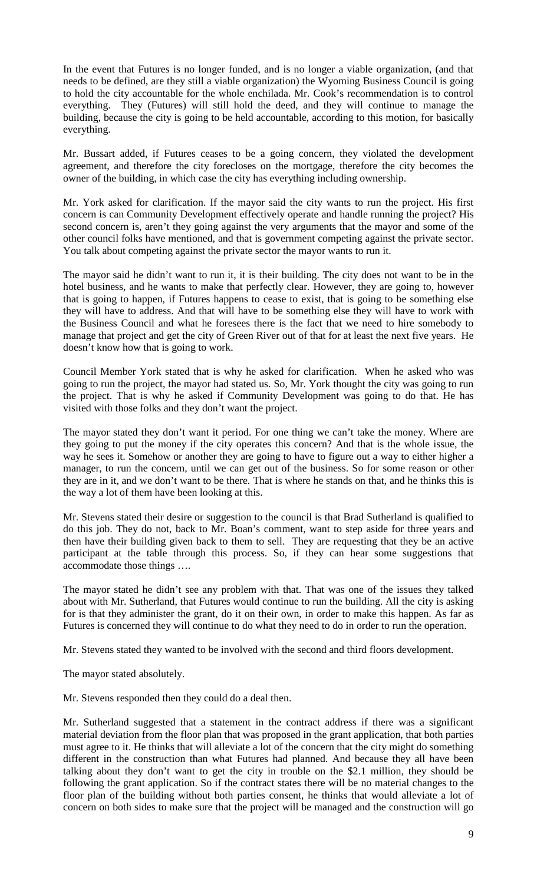In the event that Futures is no longer funded, and is no longer a viable organization, (and that needs to be defined, are they still a viable organization) the Wyoming Business Council is going to hold the city accountable for the whole enchilada. Mr. Cook's recommendation is to control everything. They (Futures) will still hold the deed, and they will continue to manage the building, because the city is going to be held accountable, according to this motion, for basically everything.

Mr. Bussart added, if Futures ceases to be a going concern, they violated the development agreement, and therefore the city forecloses on the mortgage, therefore the city becomes the owner of the building, in which case the city has everything including ownership.

Mr. York asked for clarification. If the mayor said the city wants to run the project. His first concern is can Community Development effectively operate and handle running the project? His second concern is, aren't they going against the very arguments that the mayor and some of the other council folks have mentioned, and that is government competing against the private sector. You talk about competing against the private sector the mayor wants to run it.

The mayor said he didn't want to run it, it is their building. The city does not want to be in the hotel business, and he wants to make that perfectly clear. However, they are going to, however that is going to happen, if Futures happens to cease to exist, that is going to be something else they will have to address. And that will have to be something else they will have to work with the Business Council and what he foresees there is the fact that we need to hire somebody to manage that project and get the city of Green River out of that for at least the next five years. He doesn't know how that is going to work.

Council Member York stated that is why he asked for clarification. When he asked who was going to run the project, the mayor had stated us. So, Mr. York thought the city was going to run the project. That is why he asked if Community Development was going to do that. He has visited with those folks and they don't want the project.

The mayor stated they don't want it period. For one thing we can't take the money. Where are they going to put the money if the city operates this concern? And that is the whole issue, the way he sees it. Somehow or another they are going to have to figure out a way to either higher a manager, to run the concern, until we can get out of the business. So for some reason or other they are in it, and we don't want to be there. That is where he stands on that, and he thinks this is the way a lot of them have been looking at this.

Mr. Stevens stated their desire or suggestion to the council is that Brad Sutherland is qualified to do this job. They do not, back to Mr. Boan's comment, want to step aside for three years and then have their building given back to them to sell. They are requesting that they be an active participant at the table through this process. So, if they can hear some suggestions that accommodate those things ….

The mayor stated he didn't see any problem with that. That was one of the issues they talked about with Mr. Sutherland, that Futures would continue to run the building. All the city is asking for is that they administer the grant, do it on their own, in order to make this happen. As far as Futures is concerned they will continue to do what they need to do in order to run the operation.

Mr. Stevens stated they wanted to be involved with the second and third floors development.

The mayor stated absolutely.

Mr. Stevens responded then they could do a deal then.

Mr. Sutherland suggested that a statement in the contract address if there was a significant material deviation from the floor plan that was proposed in the grant application, that both parties must agree to it. He thinks that will alleviate a lot of the concern that the city might do something different in the construction than what Futures had planned. And because they all have been talking about they don't want to get the city in trouble on the \$2.1 million, they should be following the grant application. So if the contract states there will be no material changes to the floor plan of the building without both parties consent, he thinks that would alleviate a lot of concern on both sides to make sure that the project will be managed and the construction will go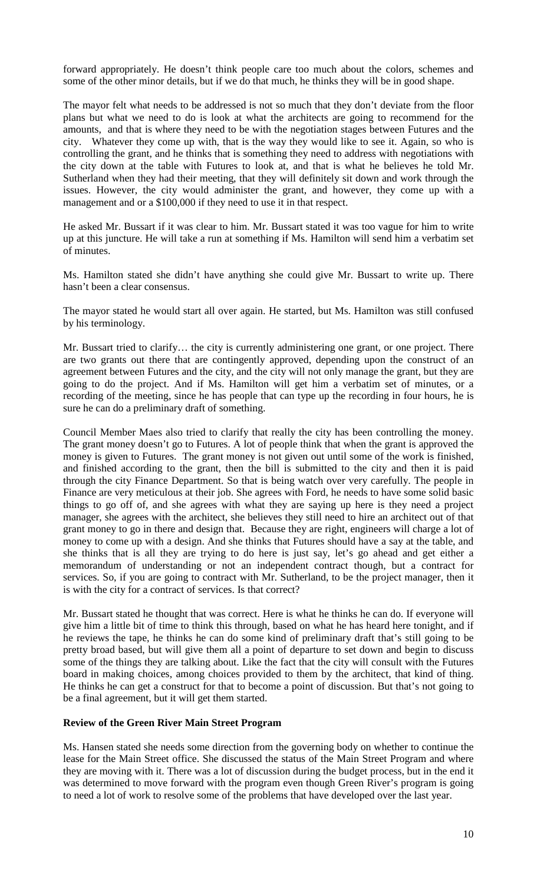forward appropriately. He doesn't think people care too much about the colors, schemes and some of the other minor details, but if we do that much, he thinks they will be in good shape.

The mayor felt what needs to be addressed is not so much that they don't deviate from the floor plans but what we need to do is look at what the architects are going to recommend for the amounts, and that is where they need to be with the negotiation stages between Futures and the city. Whatever they come up with, that is the way they would like to see it. Again, so who is controlling the grant, and he thinks that is something they need to address with negotiations with the city down at the table with Futures to look at, and that is what he believes he told Mr. Sutherland when they had their meeting, that they will definitely sit down and work through the issues. However, the city would administer the grant, and however, they come up with a management and or a \$100,000 if they need to use it in that respect.

He asked Mr. Bussart if it was clear to him. Mr. Bussart stated it was too vague for him to write up at this juncture. He will take a run at something if Ms. Hamilton will send him a verbatim set of minutes.

Ms. Hamilton stated she didn't have anything she could give Mr. Bussart to write up. There hasn't been a clear consensus.

The mayor stated he would start all over again. He started, but Ms. Hamilton was still confused by his terminology.

Mr. Bussart tried to clarify… the city is currently administering one grant, or one project. There are two grants out there that are contingently approved, depending upon the construct of an agreement between Futures and the city, and the city will not only manage the grant, but they are going to do the project. And if Ms. Hamilton will get him a verbatim set of minutes, or a recording of the meeting, since he has people that can type up the recording in four hours, he is sure he can do a preliminary draft of something.

Council Member Maes also tried to clarify that really the city has been controlling the money. The grant money doesn't go to Futures. A lot of people think that when the grant is approved the money is given to Futures. The grant money is not given out until some of the work is finished, and finished according to the grant, then the bill is submitted to the city and then it is paid through the city Finance Department. So that is being watch over very carefully. The people in Finance are very meticulous at their job. She agrees with Ford, he needs to have some solid basic things to go off of, and she agrees with what they are saying up here is they need a project manager, she agrees with the architect, she believes they still need to hire an architect out of that grant money to go in there and design that. Because they are right, engineers will charge a lot of money to come up with a design. And she thinks that Futures should have a say at the table, and she thinks that is all they are trying to do here is just say, let's go ahead and get either a memorandum of understanding or not an independent contract though, but a contract for services. So, if you are going to contract with Mr. Sutherland, to be the project manager, then it is with the city for a contract of services. Is that correct?

Mr. Bussart stated he thought that was correct. Here is what he thinks he can do. If everyone will give him a little bit of time to think this through, based on what he has heard here tonight, and if he reviews the tape, he thinks he can do some kind of preliminary draft that's still going to be pretty broad based, but will give them all a point of departure to set down and begin to discuss some of the things they are talking about. Like the fact that the city will consult with the Futures board in making choices, among choices provided to them by the architect, that kind of thing. He thinks he can get a construct for that to become a point of discussion. But that's not going to be a final agreement, but it will get them started.

## **Review of the Green River Main Street Program**

Ms. Hansen stated she needs some direction from the governing body on whether to continue the lease for the Main Street office. She discussed the status of the Main Street Program and where they are moving with it. There was a lot of discussion during the budget process, but in the end it was determined to move forward with the program even though Green River's program is going to need a lot of work to resolve some of the problems that have developed over the last year.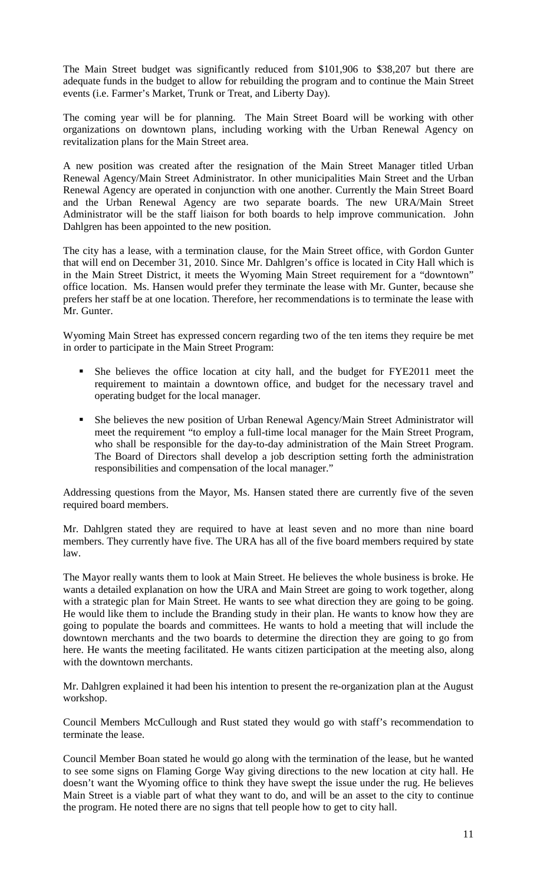The Main Street budget was significantly reduced from \$101,906 to \$38,207 but there are adequate funds in the budget to allow for rebuilding the program and to continue the Main Street events (i.e. Farmer's Market, Trunk or Treat, and Liberty Day).

The coming year will be for planning. The Main Street Board will be working with other organizations on downtown plans, including working with the Urban Renewal Agency on revitalization plans for the Main Street area.

A new position was created after the resignation of the Main Street Manager titled Urban Renewal Agency/Main Street Administrator. In other municipalities Main Street and the Urban Renewal Agency are operated in conjunction with one another. Currently the Main Street Board and the Urban Renewal Agency are two separate boards. The new URA/Main Street Administrator will be the staff liaison for both boards to help improve communication. John Dahlgren has been appointed to the new position.

The city has a lease, with a termination clause, for the Main Street office, with Gordon Gunter that will end on December 31, 2010. Since Mr. Dahlgren's office is located in City Hall which is in the Main Street District, it meets the Wyoming Main Street requirement for a "downtown" office location. Ms. Hansen would prefer they terminate the lease with Mr. Gunter, because she prefers her staff be at one location. Therefore, her recommendations is to terminate the lease with Mr. Gunter.

Wyoming Main Street has expressed concern regarding two of the ten items they require be met in order to participate in the Main Street Program:

- She believes the office location at city hall, and the budget for FYE2011 meet the requirement to maintain a downtown office, and budget for the necessary travel and operating budget for the local manager.
- She believes the new position of Urban Renewal Agency/Main Street Administrator will meet the requirement "to employ a full-time local manager for the Main Street Program, who shall be responsible for the day-to-day administration of the Main Street Program. The Board of Directors shall develop a job description setting forth the administration responsibilities and compensation of the local manager."

Addressing questions from the Mayor, Ms. Hansen stated there are currently five of the seven required board members.

Mr. Dahlgren stated they are required to have at least seven and no more than nine board members. They currently have five. The URA has all of the five board members required by state law.

The Mayor really wants them to look at Main Street. He believes the whole business is broke. He wants a detailed explanation on how the URA and Main Street are going to work together, along with a strategic plan for Main Street. He wants to see what direction they are going to be going. He would like them to include the Branding study in their plan. He wants to know how they are going to populate the boards and committees. He wants to hold a meeting that will include the downtown merchants and the two boards to determine the direction they are going to go from here. He wants the meeting facilitated. He wants citizen participation at the meeting also, along with the downtown merchants.

Mr. Dahlgren explained it had been his intention to present the re-organization plan at the August workshop.

Council Members McCullough and Rust stated they would go with staff's recommendation to terminate the lease.

Council Member Boan stated he would go along with the termination of the lease, but he wanted to see some signs on Flaming Gorge Way giving directions to the new location at city hall. He doesn't want the Wyoming office to think they have swept the issue under the rug. He believes Main Street is a viable part of what they want to do, and will be an asset to the city to continue the program. He noted there are no signs that tell people how to get to city hall.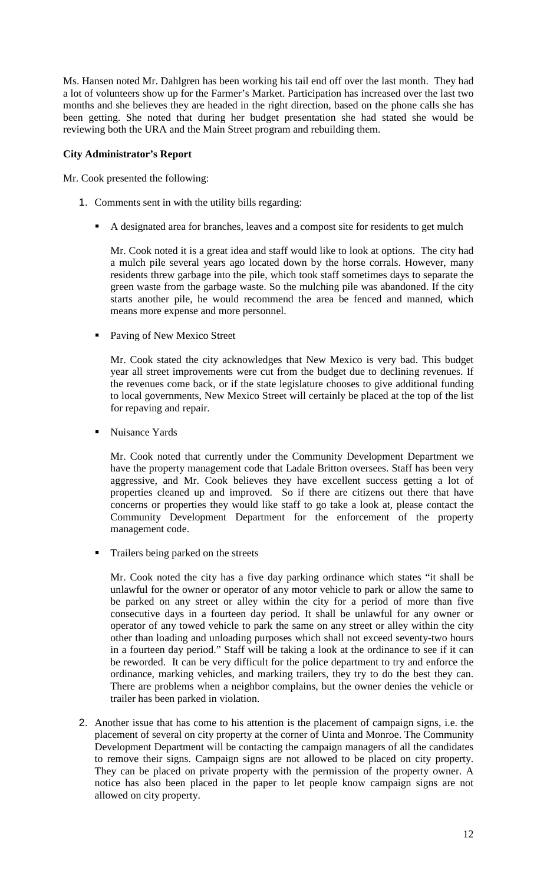Ms. Hansen noted Mr. Dahlgren has been working his tail end off over the last month. They had a lot of volunteers show up for the Farmer's Market. Participation has increased over the last two months and she believes they are headed in the right direction, based on the phone calls she has been getting. She noted that during her budget presentation she had stated she would be reviewing both the URA and the Main Street program and rebuilding them.

## **City Administrator's Report**

Mr. Cook presented the following:

- 1. Comments sent in with the utility bills regarding:
	- A designated area for branches, leaves and a compost site for residents to get mulch

Mr. Cook noted it is a great idea and staff would like to look at options. The city had a mulch pile several years ago located down by the horse corrals. However, many residents threw garbage into the pile, which took staff sometimes days to separate the green waste from the garbage waste. So the mulching pile was abandoned. If the city starts another pile, he would recommend the area be fenced and manned, which means more expense and more personnel.

• Paving of New Mexico Street

Mr. Cook stated the city acknowledges that New Mexico is very bad. This budget year all street improvements were cut from the budget due to declining revenues. If the revenues come back, or if the state legislature chooses to give additional funding to local governments, New Mexico Street will certainly be placed at the top of the list for repaving and repair.

■ Nuisance Yards

Mr. Cook noted that currently under the Community Development Department we have the property management code that Ladale Britton oversees. Staff has been very aggressive, and Mr. Cook believes they have excellent success getting a lot of properties cleaned up and improved. So if there are citizens out there that have concerns or properties they would like staff to go take a look at, please contact the Community Development Department for the enforcement of the property management code.

Trailers being parked on the streets

Mr. Cook noted the city has a five day parking ordinance which states "it shall be unlawful for the owner or operator of any motor vehicle to park or allow the same to be parked on any street or alley within the city for a period of more than five consecutive days in a fourteen day period. It shall be unlawful for any owner or operator of any towed vehicle to park the same on any street or alley within the city other than loading and unloading purposes which shall not exceed seventy-two hours in a fourteen day period." Staff will be taking a look at the ordinance to see if it can be reworded. It can be very difficult for the police department to try and enforce the ordinance, marking vehicles, and marking trailers, they try to do the best they can. There are problems when a neighbor complains, but the owner denies the vehicle or trailer has been parked in violation.

2. Another issue that has come to his attention is the placement of campaign signs, i.e. the placement of several on city property at the corner of Uinta and Monroe. The Community Development Department will be contacting the campaign managers of all the candidates to remove their signs. Campaign signs are not allowed to be placed on city property. They can be placed on private property with the permission of the property owner. A notice has also been placed in the paper to let people know campaign signs are not allowed on city property.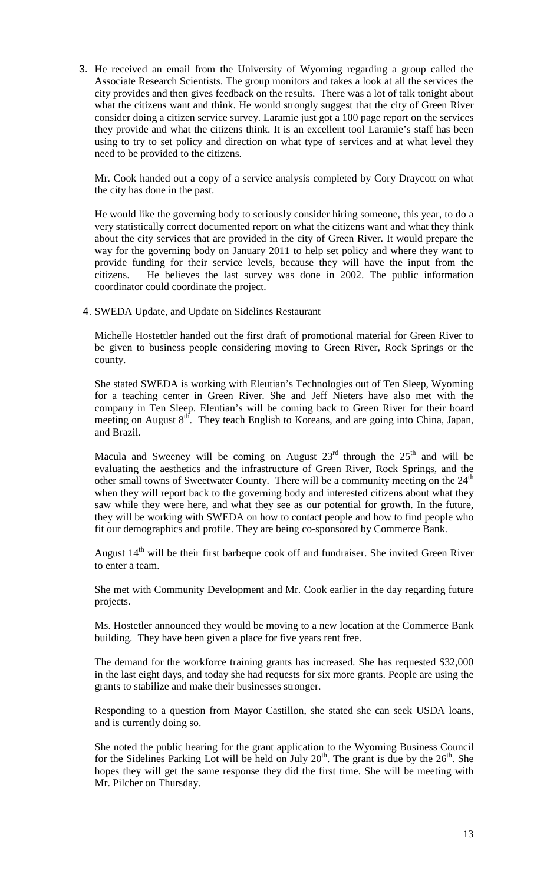3. He received an email from the University of Wyoming regarding a group called the Associate Research Scientists. The group monitors and takes a look at all the services the city provides and then gives feedback on the results. There was a lot of talk tonight about what the citizens want and think. He would strongly suggest that the city of Green River consider doing a citizen service survey. Laramie just got a 100 page report on the services they provide and what the citizens think. It is an excellent tool Laramie's staff has been using to try to set policy and direction on what type of services and at what level they need to be provided to the citizens.

Mr. Cook handed out a copy of a service analysis completed by Cory Draycott on what the city has done in the past.

He would like the governing body to seriously consider hiring someone, this year, to do a very statistically correct documented report on what the citizens want and what they think about the city services that are provided in the city of Green River. It would prepare the way for the governing body on January 2011 to help set policy and where they want to provide funding for their service levels, because they will have the input from the citizens. He believes the last survey was done in 2002. The public information coordinator could coordinate the project.

4. SWEDA Update, and Update on Sidelines Restaurant

Michelle Hostettler handed out the first draft of promotional material for Green River to be given to business people considering moving to Green River, Rock Springs or the county.

She stated SWEDA is working with Eleutian's Technologies out of Ten Sleep, Wyoming for a teaching center in Green River. She and Jeff Nieters have also met with the company in Ten Sleep. Eleutian's will be coming back to Green River for their board meeting on August 8<sup>th</sup>. They teach English to Koreans, and are going into China, Japan, and Brazil.

Macula and Sweeney will be coming on August  $23<sup>rd</sup>$  through the  $25<sup>th</sup>$  and will be evaluating the aesthetics and the infrastructure of Green River, Rock Springs, and the other small towns of Sweetwater County. There will be a community meeting on the 24<sup>th</sup> when they will report back to the governing body and interested citizens about what they saw while they were here, and what they see as our potential for growth. In the future, they will be working with SWEDA on how to contact people and how to find people who fit our demographics and profile. They are being co-sponsored by Commerce Bank.

August 14<sup>th</sup> will be their first barbeque cook off and fundraiser. She invited Green River to enter a team.

She met with Community Development and Mr. Cook earlier in the day regarding future projects.

Ms. Hostetler announced they would be moving to a new location at the Commerce Bank building. They have been given a place for five years rent free.

The demand for the workforce training grants has increased. She has requested \$32,000 in the last eight days, and today she had requests for six more grants. People are using the grants to stabilize and make their businesses stronger.

Responding to a question from Mayor Castillon, she stated she can seek USDA loans, and is currently doing so.

She noted the public hearing for the grant application to the Wyoming Business Council for the Sidelines Parking Lot will be held on July  $20<sup>th</sup>$ . The grant is due by the  $26<sup>th</sup>$ . She hopes they will get the same response they did the first time. She will be meeting with Mr. Pilcher on Thursday.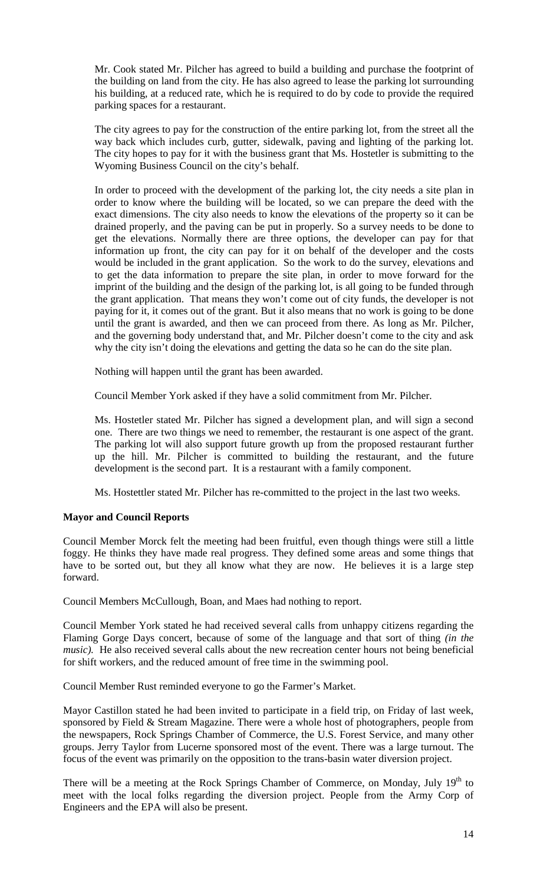Mr. Cook stated Mr. Pilcher has agreed to build a building and purchase the footprint of the building on land from the city. He has also agreed to lease the parking lot surrounding his building, at a reduced rate, which he is required to do by code to provide the required parking spaces for a restaurant.

The city agrees to pay for the construction of the entire parking lot, from the street all the way back which includes curb, gutter, sidewalk, paving and lighting of the parking lot. The city hopes to pay for it with the business grant that Ms. Hostetler is submitting to the Wyoming Business Council on the city's behalf.

In order to proceed with the development of the parking lot, the city needs a site plan in order to know where the building will be located, so we can prepare the deed with the exact dimensions. The city also needs to know the elevations of the property so it can be drained properly, and the paving can be put in properly. So a survey needs to be done to get the elevations. Normally there are three options, the developer can pay for that information up front, the city can pay for it on behalf of the developer and the costs would be included in the grant application. So the work to do the survey, elevations and to get the data information to prepare the site plan, in order to move forward for the imprint of the building and the design of the parking lot, is all going to be funded through the grant application. That means they won't come out of city funds, the developer is not paying for it, it comes out of the grant. But it also means that no work is going to be done until the grant is awarded, and then we can proceed from there. As long as Mr. Pilcher, and the governing body understand that, and Mr. Pilcher doesn't come to the city and ask why the city isn't doing the elevations and getting the data so he can do the site plan.

Nothing will happen until the grant has been awarded.

Council Member York asked if they have a solid commitment from Mr. Pilcher.

Ms. Hostetler stated Mr. Pilcher has signed a development plan, and will sign a second one. There are two things we need to remember, the restaurant is one aspect of the grant. The parking lot will also support future growth up from the proposed restaurant further up the hill. Mr. Pilcher is committed to building the restaurant, and the future development is the second part. It is a restaurant with a family component.

Ms. Hostettler stated Mr. Pilcher has re-committed to the project in the last two weeks.

## **Mayor and Council Reports**

Council Member Morck felt the meeting had been fruitful, even though things were still a little foggy. He thinks they have made real progress. They defined some areas and some things that have to be sorted out, but they all know what they are now. He believes it is a large step forward.

Council Members McCullough, Boan, and Maes had nothing to report.

Council Member York stated he had received several calls from unhappy citizens regarding the Flaming Gorge Days concert, because of some of the language and that sort of thing *(in the music*). He also received several calls about the new recreation center hours not being beneficial for shift workers, and the reduced amount of free time in the swimming pool.

Council Member Rust reminded everyone to go the Farmer's Market.

Mayor Castillon stated he had been invited to participate in a field trip, on Friday of last week, sponsored by Field & Stream Magazine. There were a whole host of photographers, people from the newspapers, Rock Springs Chamber of Commerce, the U.S. Forest Service, and many other groups. Jerry Taylor from Lucerne sponsored most of the event. There was a large turnout. The focus of the event was primarily on the opposition to the trans-basin water diversion project.

There will be a meeting at the Rock Springs Chamber of Commerce, on Monday, July  $19<sup>th</sup>$  to meet with the local folks regarding the diversion project. People from the Army Corp of Engineers and the EPA will also be present.